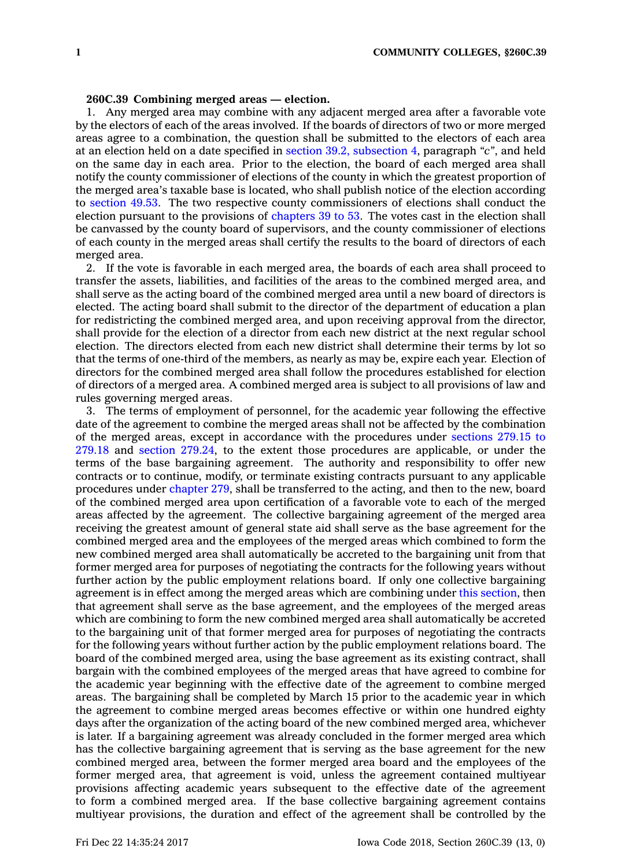## **260C.39 Combining merged areas — election.**

1. Any merged area may combine with any adjacent merged area after <sup>a</sup> favorable vote by the electors of each of the areas involved. If the boards of directors of two or more merged areas agree to <sup>a</sup> combination, the question shall be submitted to the electors of each area at an election held on <sup>a</sup> date specified in section 39.2, [subsection](https://www.legis.iowa.gov/docs/code/39.2.pdf) 4, paragraph *"c"*, and held on the same day in each area. Prior to the election, the board of each merged area shall notify the county commissioner of elections of the county in which the greatest proportion of the merged area's taxable base is located, who shall publish notice of the election according to [section](https://www.legis.iowa.gov/docs/code/49.53.pdf) 49.53. The two respective county commissioners of elections shall conduct the election pursuant to the provisions of [chapters](https://www.legis.iowa.gov/docs/code/39.pdf) 39 to 53. The votes cast in the election shall be canvassed by the county board of supervisors, and the county commissioner of elections of each county in the merged areas shall certify the results to the board of directors of each merged area.

2. If the vote is favorable in each merged area, the boards of each area shall proceed to transfer the assets, liabilities, and facilities of the areas to the combined merged area, and shall serve as the acting board of the combined merged area until <sup>a</sup> new board of directors is elected. The acting board shall submit to the director of the department of education <sup>a</sup> plan for redistricting the combined merged area, and upon receiving approval from the director, shall provide for the election of <sup>a</sup> director from each new district at the next regular school election. The directors elected from each new district shall determine their terms by lot so that the terms of one-third of the members, as nearly as may be, expire each year. Election of directors for the combined merged area shall follow the procedures established for election of directors of <sup>a</sup> merged area. A combined merged area is subject to all provisions of law and rules governing merged areas.

3. The terms of employment of personnel, for the academic year following the effective date of the agreement to combine the merged areas shall not be affected by the combination of the merged areas, except in accordance with the procedures under [sections](https://www.legis.iowa.gov/docs/code/279.15.pdf) 279.15 to [279.18](https://www.legis.iowa.gov/docs/code/279.15.pdf) and section [279.24](https://www.legis.iowa.gov/docs/code/279.24.pdf), to the extent those procedures are applicable, or under the terms of the base bargaining agreement. The authority and responsibility to offer new contracts or to continue, modify, or terminate existing contracts pursuant to any applicable procedures under [chapter](https://www.legis.iowa.gov/docs/code//279.pdf) 279, shall be transferred to the acting, and then to the new, board of the combined merged area upon certification of <sup>a</sup> favorable vote to each of the merged areas affected by the agreement. The collective bargaining agreement of the merged area receiving the greatest amount of general state aid shall serve as the base agreement for the combined merged area and the employees of the merged areas which combined to form the new combined merged area shall automatically be accreted to the bargaining unit from that former merged area for purposes of negotiating the contracts for the following years without further action by the public employment relations board. If only one collective bargaining agreement is in effect among the merged areas which are combining under this [section](https://www.legis.iowa.gov/docs/code/260C.39.pdf), then that agreement shall serve as the base agreement, and the employees of the merged areas which are combining to form the new combined merged area shall automatically be accreted to the bargaining unit of that former merged area for purposes of negotiating the contracts for the following years without further action by the public employment relations board. The board of the combined merged area, using the base agreement as its existing contract, shall bargain with the combined employees of the merged areas that have agreed to combine for the academic year beginning with the effective date of the agreement to combine merged areas. The bargaining shall be completed by March 15 prior to the academic year in which the agreement to combine merged areas becomes effective or within one hundred eighty days after the organization of the acting board of the new combined merged area, whichever is later. If <sup>a</sup> bargaining agreement was already concluded in the former merged area which has the collective bargaining agreement that is serving as the base agreement for the new combined merged area, between the former merged area board and the employees of the former merged area, that agreement is void, unless the agreement contained multiyear provisions affecting academic years subsequent to the effective date of the agreement to form <sup>a</sup> combined merged area. If the base collective bargaining agreement contains multiyear provisions, the duration and effect of the agreement shall be controlled by the